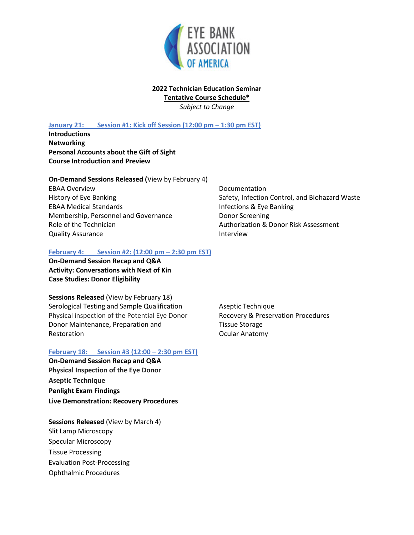

#### **2022 Technician Education Seminar Tentative Course Schedule\***

*Subject to Change*

# **January 21: Session #1: Kick off Session (12:00 pm – 1:30 pm EST)**

**Introductions Networking Personal Accounts about the Gift of Sight Course Introduction and Preview**

#### **On-Demand Sessions Released (**View by February 4)

EBAA Overview History of Eye Banking EBAA Medical Standards Membership, Personnel and Governance Role of the Technician Quality Assurance

## **February 4: Session #2: (12:00 pm – 2:30 pm EST)**

**On-Demand Session Recap and Q&A Activity: Conversations with Next of Kin Case Studies: Donor Eligibility**

**Sessions Released** (View by February 18) Serological Testing and Sample Qualification Physical inspection of the Potential Eye Donor Donor Maintenance, Preparation and Restoration

## **February 18: Session #3 (12:00 – 2:30 pm EST)**

**On-Demand Session Recap and Q&A Physical Inspection of the Eye Donor Aseptic Technique Penlight Exam Findings Live Demonstration: Recovery Procedures**

**Sessions Released** (View by March 4) Slit Lamp Microscopy Specular Microscopy Tissue Processing Evaluation Post-Processing Ophthalmic Procedures

Documentation Safety, Infection Control, and Biohazard Waste Infections & Eye Banking Donor Screening Authorization & Donor Risk Assessment Interview

Aseptic Technique Recovery & Preservation Procedures Tissue Storage Ocular Anatomy